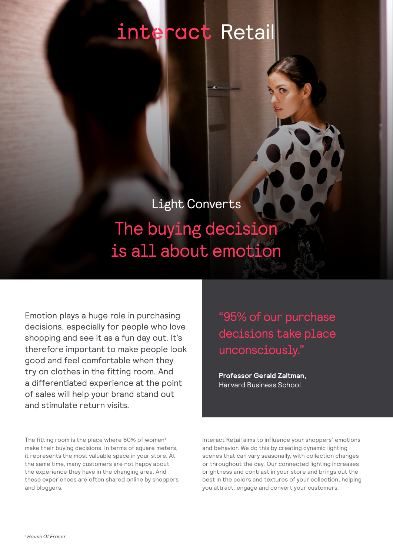## interact Retai

### Light Converts

### The buying decision is all about emotion

Emotion plays a huge role in purchasing decisions, especially for people who love shopping and see it as a fun day out. It's therefore important to make people look good and feel comfortable when they try on clothes in the fitting room. And a differentiated experience at the point of sales will help your brand stand out and stimulate return visits.

The fitting room is the place where 60% of women<sup>1</sup> make their buying decisions. In terms of square meters, it represents the most valuable space in your store. At the same time, many customers are not happy about the experience they have in the changing area. And these experiences are often shared online by shoppers and bloggers.

"95% of our purchase decisions take place unconsciously."

**Professor Gerald Zaltman,**  Harvard Business School

Interact Retail aims to influence your shoppers' emotions and behavior. We do this by creating dynamic lighting scenes that can vary seasonally, with collection changes or throughout the day. Our connected lighting increases brightness and contrast in your store and brings out the best in the colors and textures of your collection, helping you attract, engage and convert your customers.